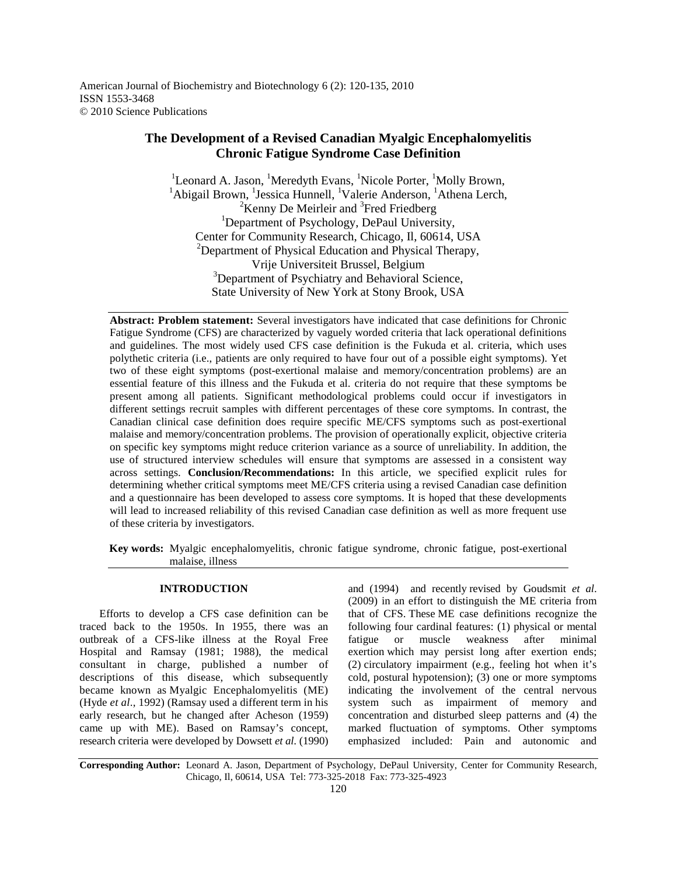American Journal of Biochemistry and Biotechnology 6 (2): 120-135, 2010 ISSN 1553-3468 © 2010 Science Publications

# **The Development of a Revised Canadian Myalgic Encephalomyelitis Chronic Fatigue Syndrome Case Definition**

<sup>1</sup>Leonard A. Jason, <sup>1</sup>Meredyth Evans, <sup>1</sup>Nicole Porter, <sup>1</sup>Molly Brown, <sup>1</sup>Abigail Brown, <sup>1</sup>Jessica Hunnell, <sup>1</sup>Valerie Anderson, <sup>1</sup>Athena Lerch,  ${}^{2}$ Kenny De Meirleir and  ${}^{3}$ Fred Friedberg <sup>1</sup>Department of Psychology, DePaul University, Center for Community Research, Chicago, Il, 60614, USA  $2$ Department of Physical Education and Physical Therapy, Vrije Universiteit Brussel, Belgium <sup>3</sup>Department of Psychiatry and Behavioral Science, State University of New York at Stony Brook, USA

**Abstract: Problem statement:** Several investigators have indicated that case definitions for Chronic Fatigue Syndrome (CFS) are characterized by vaguely worded criteria that lack operational definitions and guidelines. The most widely used CFS case definition is the Fukuda et al. criteria, which uses polythetic criteria (i.e., patients are only required to have four out of a possible eight symptoms). Yet two of these eight symptoms (post-exertional malaise and memory/concentration problems) are an essential feature of this illness and the Fukuda et al. criteria do not require that these symptoms be present among all patients. Significant methodological problems could occur if investigators in different settings recruit samples with different percentages of these core symptoms. In contrast, the Canadian clinical case definition does require specific ME/CFS symptoms such as post-exertional malaise and memory/concentration problems. The provision of operationally explicit, objective criteria on specific key symptoms might reduce criterion variance as a source of unreliability. In addition, the use of structured interview schedules will ensure that symptoms are assessed in a consistent way across settings. **Conclusion/Recommendations:** In this article, we specified explicit rules for determining whether critical symptoms meet ME/CFS criteria using a revised Canadian case definition and a questionnaire has been developed to assess core symptoms. It is hoped that these developments will lead to increased reliability of this revised Canadian case definition as well as more frequent use of these criteria by investigators.

**Key words:** Myalgic encephalomyelitis, chronic fatigue syndrome, chronic fatigue, post-exertional malaise, illness

### **INTRODUCTION**

 Efforts to develop a CFS case definition can be traced back to the 1950s. In 1955, there was an outbreak of a CFS-like illness at the Royal Free Hospital and Ramsay (1981; 1988), the medical consultant in charge, published a number of descriptions of this disease, which subsequently became known as Myalgic Encephalomyelitis (ME) (Hyde *et al*., 1992) (Ramsay used a different term in his early research, but he changed after Acheson (1959) came up with ME). Based on Ramsay's concept, research criteria were developed by Dowsett *et al*. (1990)

and (1994) and recently revised by Goudsmit *et al*. (2009) in an effort to distinguish the ME criteria from that of CFS. These ME case definitions recognize the following four cardinal features: (1) physical or mental fatigue or muscle weakness after minimal exertion which may persist long after exertion ends; (2) circulatory impairment (e.g., feeling hot when it's cold, postural hypotension); (3) one or more symptoms indicating the involvement of the central nervous system such as impairment of memory and concentration and disturbed sleep patterns and (4) the marked fluctuation of symptoms. Other symptoms emphasized included: Pain and autonomic and

**Corresponding Author:** Leonard A. Jason, Department of Psychology, DePaul University, Center for Community Research, Chicago, Il, 60614, USA Tel: 773-325-2018 Fax: 773-325-4923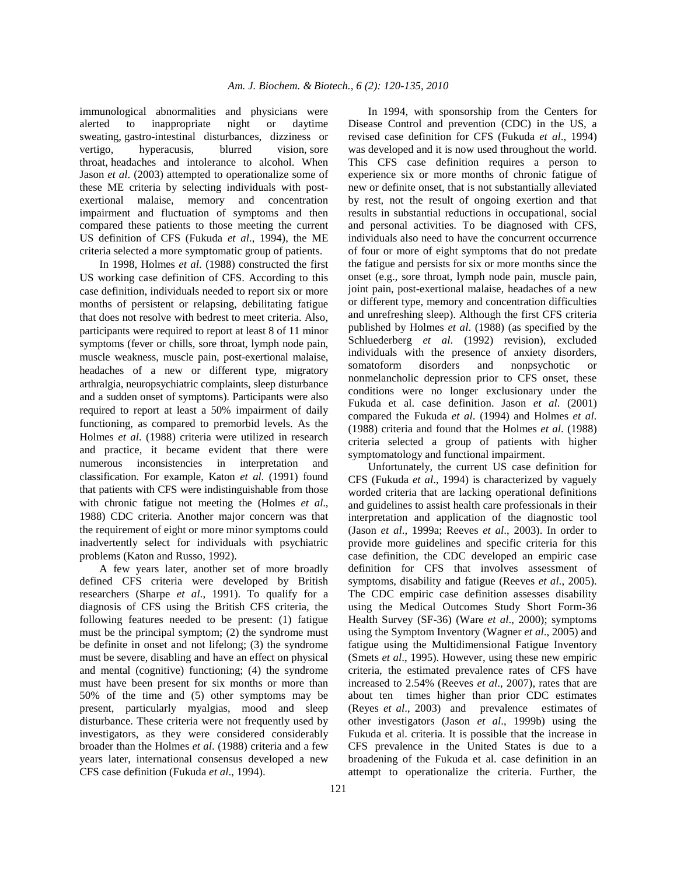immunological abnormalities and physicians were alerted to inappropriate night or daytime sweating, gastro-intestinal disturbances, dizziness or vertigo, hyperacusis, blurred vision, sore throat, headaches and intolerance to alcohol. When Jason *et al*. (2003) attempted to operationalize some of these ME criteria by selecting individuals with postexertional malaise, memory and concentration impairment and fluctuation of symptoms and then compared these patients to those meeting the current US definition of CFS (Fukuda *et al*., 1994), the ME criteria selected a more symptomatic group of patients.

 In 1998, Holmes *et al*. (1988) constructed the first US working case definition of CFS. According to this case definition, individuals needed to report six or more months of persistent or relapsing, debilitating fatigue that does not resolve with bedrest to meet criteria. Also, participants were required to report at least 8 of 11 minor symptoms (fever or chills, sore throat, lymph node pain, muscle weakness, muscle pain, post-exertional malaise, headaches of a new or different type, migratory arthralgia, neuropsychiatric complaints, sleep disturbance and a sudden onset of symptoms). Participants were also required to report at least a 50% impairment of daily functioning, as compared to premorbid levels. As the Holmes *et al*. (1988) criteria were utilized in research and practice, it became evident that there were numerous inconsistencies in interpretation and classification. For example, Katon *et al*. (1991) found that patients with CFS were indistinguishable from those with chronic fatigue not meeting the (Holmes *et al*., 1988) CDC criteria. Another major concern was that the requirement of eight or more minor symptoms could inadvertently select for individuals with psychiatric problems (Katon and Russo, 1992).

 A few years later, another set of more broadly defined CFS criteria were developed by British researchers (Sharpe *et al*., 1991). To qualify for a diagnosis of CFS using the British CFS criteria, the following features needed to be present: (1) fatigue must be the principal symptom; (2) the syndrome must be definite in onset and not lifelong; (3) the syndrome must be severe, disabling and have an effect on physical and mental (cognitive) functioning; (4) the syndrome must have been present for six months or more than 50% of the time and (5) other symptoms may be present, particularly myalgias, mood and sleep disturbance. These criteria were not frequently used by investigators, as they were considered considerably broader than the Holmes *et al*. (1988) criteria and a few years later, international consensus developed a new CFS case definition (Fukuda *et al*., 1994).

 In 1994, with sponsorship from the Centers for Disease Control and prevention (CDC) in the US, a revised case definition for CFS (Fukuda *et al*., 1994) was developed and it is now used throughout the world. This CFS case definition requires a person to experience six or more months of chronic fatigue of new or definite onset, that is not substantially alleviated by rest, not the result of ongoing exertion and that results in substantial reductions in occupational, social and personal activities. To be diagnosed with CFS, individuals also need to have the concurrent occurrence of four or more of eight symptoms that do not predate the fatigue and persists for six or more months since the onset (e.g., sore throat, lymph node pain, muscle pain, joint pain, post-exertional malaise, headaches of a new or different type, memory and concentration difficulties and unrefreshing sleep). Although the first CFS criteria published by Holmes *et al*. (1988) (as specified by the Schluederberg *et al*. (1992) revision), excluded individuals with the presence of anxiety disorders, somatoform disorders and nonpsychotic or nonmelancholic depression prior to CFS onset, these conditions were no longer exclusionary under the Fukuda et al. case definition. Jason *et al*. (2001) compared the Fukuda *et al*. (1994) and Holmes *et al*. (1988) criteria and found that the Holmes *et al*. (1988) criteria selected a group of patients with higher symptomatology and functional impairment.

 Unfortunately, the current US case definition for CFS (Fukuda *et al*., 1994) is characterized by vaguely worded criteria that are lacking operational definitions and guidelines to assist health care professionals in their interpretation and application of the diagnostic tool (Jason *et al*., 1999a; Reeves *et al*., 2003). In order to provide more guidelines and specific criteria for this case definition, the CDC developed an empiric case definition for CFS that involves assessment of symptoms, disability and fatigue (Reeves *et al*., 2005). The CDC empiric case definition assesses disability using the Medical Outcomes Study Short Form-36 Health Survey (SF-36) (Ware *et al*., 2000); symptoms using the Symptom Inventory (Wagner *et al*., 2005) and fatigue using the Multidimensional Fatigue Inventory (Smets *et al*., 1995). However, using these new empiric criteria, the estimated prevalence rates of CFS have increased to 2.54% (Reeves *et al*., 2007), rates that are about ten times higher than prior CDC estimates (Reyes *et al*., 2003) and prevalence estimates of other investigators (Jason *et al*., 1999b) using the Fukuda et al. criteria. It is possible that the increase in CFS prevalence in the United States is due to a broadening of the Fukuda et al. case definition in an attempt to operationalize the criteria. Further, the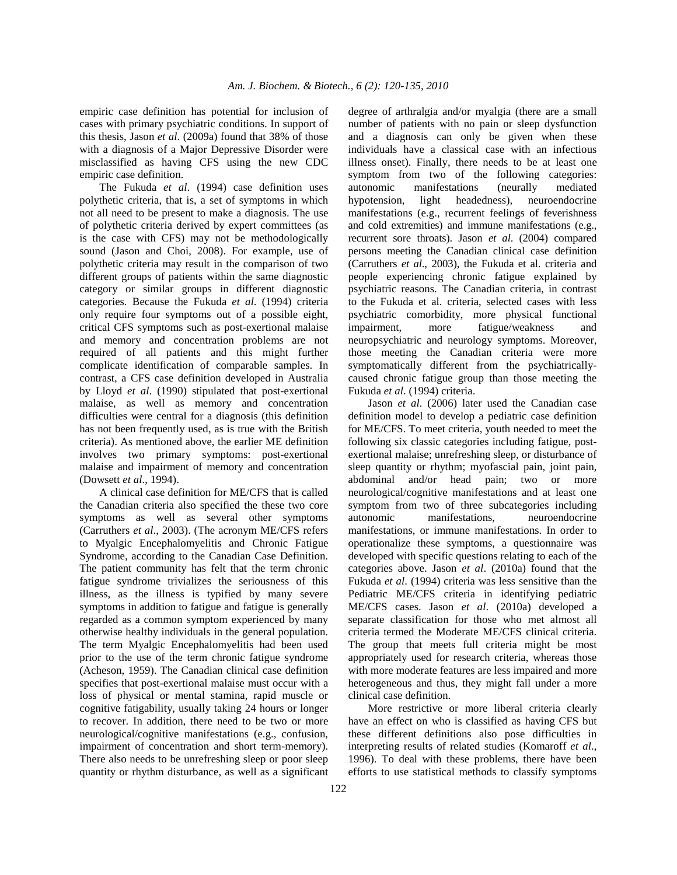empiric case definition has potential for inclusion of cases with primary psychiatric conditions. In support of this thesis, Jason *et al*. (2009a) found that 38% of those with a diagnosis of a Major Depressive Disorder were misclassified as having CFS using the new CDC empiric case definition.

 The Fukuda *et al*. (1994) case definition uses polythetic criteria, that is, a set of symptoms in which not all need to be present to make a diagnosis. The use of polythetic criteria derived by expert committees (as is the case with CFS) may not be methodologically sound (Jason and Choi, 2008). For example, use of polythetic criteria may result in the comparison of two different groups of patients within the same diagnostic category or similar groups in different diagnostic categories. Because the Fukuda *et al*. (1994) criteria only require four symptoms out of a possible eight, critical CFS symptoms such as post-exertional malaise and memory and concentration problems are not required of all patients and this might further complicate identification of comparable samples. In contrast, a CFS case definition developed in Australia by Lloyd *et al*. (1990) stipulated that post-exertional malaise, as well as memory and concentration difficulties were central for a diagnosis (this definition has not been frequently used, as is true with the British criteria). As mentioned above, the earlier ME definition involves two primary symptoms: post-exertional malaise and impairment of memory and concentration (Dowsett *et al*., 1994).

 A clinical case definition for ME/CFS that is called the Canadian criteria also specified the these two core symptoms as well as several other symptoms (Carruthers *et al*., 2003). (The acronym ME/CFS refers to Myalgic Encephalomyelitis and Chronic Fatigue Syndrome, according to the Canadian Case Definition. The patient community has felt that the term chronic fatigue syndrome trivializes the seriousness of this illness, as the illness is typified by many severe symptoms in addition to fatigue and fatigue is generally regarded as a common symptom experienced by many otherwise healthy individuals in the general population. The term Myalgic Encephalomyelitis had been used prior to the use of the term chronic fatigue syndrome (Acheson, 1959). The Canadian clinical case definition specifies that post-exertional malaise must occur with a loss of physical or mental stamina, rapid muscle or cognitive fatigability, usually taking 24 hours or longer to recover. In addition, there need to be two or more neurological/cognitive manifestations (e.g., confusion, impairment of concentration and short term-memory). There also needs to be unrefreshing sleep or poor sleep quantity or rhythm disturbance, as well as a significant

degree of arthralgia and/or myalgia (there are a small number of patients with no pain or sleep dysfunction and a diagnosis can only be given when these individuals have a classical case with an infectious illness onset). Finally, there needs to be at least one symptom from two of the following categories: autonomic manifestations (neurally mediated hypotension, light headedness), neuroendocrine manifestations (e.g., recurrent feelings of feverishness and cold extremities) and immune manifestations (e.g., recurrent sore throats). Jason *et al*. (2004) compared persons meeting the Canadian clinical case definition (Carruthers *et al*., 2003), the Fukuda et al. criteria and people experiencing chronic fatigue explained by psychiatric reasons. The Canadian criteria, in contrast to the Fukuda et al. criteria, selected cases with less psychiatric comorbidity, more physical functional impairment, more fatigue/weakness and neuropsychiatric and neurology symptoms. Moreover, those meeting the Canadian criteria were more symptomatically different from the psychiatricallycaused chronic fatigue group than those meeting the Fukuda *et al*. (1994) criteria.

 Jason *et al*. (2006) later used the Canadian case definition model to develop a pediatric case definition for ME/CFS. To meet criteria, youth needed to meet the following six classic categories including fatigue, postexertional malaise; unrefreshing sleep, or disturbance of sleep quantity or rhythm; myofascial pain, joint pain, abdominal and/or head pain; two or more neurological/cognitive manifestations and at least one symptom from two of three subcategories including autonomic manifestations, neuroendocrine manifestations, or immune manifestations. In order to operationalize these symptoms, a questionnaire was developed with specific questions relating to each of the categories above. Jason *et al*. (2010a) found that the Fukuda *et al*. (1994) criteria was less sensitive than the Pediatric ME/CFS criteria in identifying pediatric ME/CFS cases. Jason *et al*. (2010a) developed a separate classification for those who met almost all criteria termed the Moderate ME/CFS clinical criteria. The group that meets full criteria might be most appropriately used for research criteria, whereas those with more moderate features are less impaired and more heterogeneous and thus, they might fall under a more clinical case definition.

 More restrictive or more liberal criteria clearly have an effect on who is classified as having CFS but these different definitions also pose difficulties in interpreting results of related studies (Komaroff *et al*., 1996). To deal with these problems, there have been efforts to use statistical methods to classify symptoms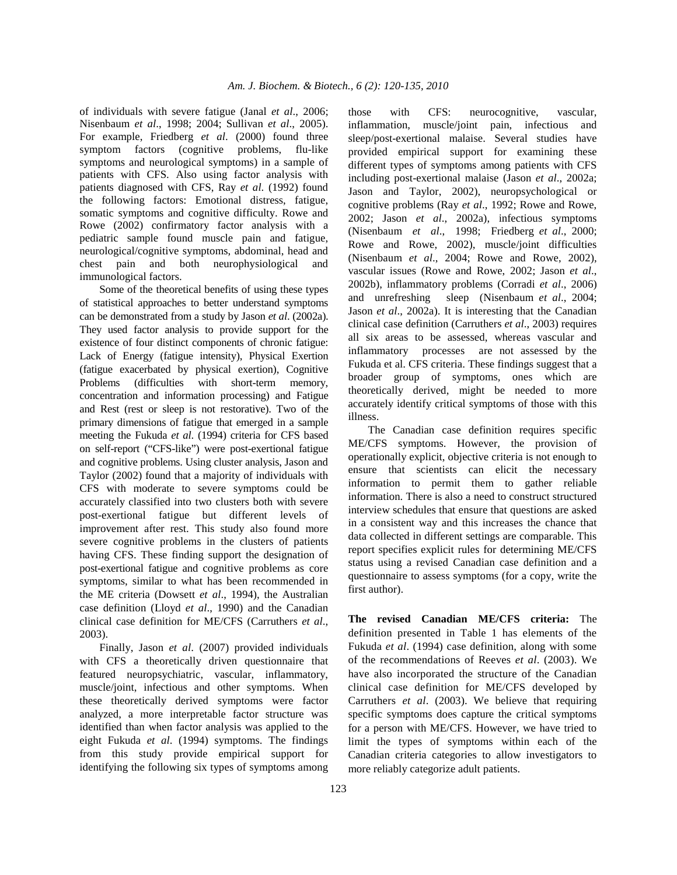of individuals with severe fatigue (Janal *et al*., 2006; Nisenbaum *et al*., 1998; 2004; Sullivan *et al*., 2005). For example, Friedberg *et al*. (2000) found three symptom factors (cognitive problems, flu-like symptoms and neurological symptoms) in a sample of patients with CFS. Also using factor analysis with patients diagnosed with CFS, Ray *et al*. (1992) found the following factors: Emotional distress, fatigue, somatic symptoms and cognitive difficulty. Rowe and Rowe (2002) confirmatory factor analysis with a pediatric sample found muscle pain and fatigue, neurological/cognitive symptoms, abdominal, head and chest pain and both neurophysiological and immunological factors.

 Some of the theoretical benefits of using these types of statistical approaches to better understand symptoms can be demonstrated from a study by Jason *et al*. (2002a). They used factor analysis to provide support for the existence of four distinct components of chronic fatigue: Lack of Energy (fatigue intensity), Physical Exertion (fatigue exacerbated by physical exertion), Cognitive Problems (difficulties with short-term memory, concentration and information processing) and Fatigue and Rest (rest or sleep is not restorative). Two of the primary dimensions of fatigue that emerged in a sample meeting the Fukuda *et al*. (1994) criteria for CFS based on self-report ("CFS-like") were post-exertional fatigue and cognitive problems. Using cluster analysis, Jason and Taylor (2002) found that a majority of individuals with CFS with moderate to severe symptoms could be accurately classified into two clusters both with severe post-exertional fatigue but different levels of improvement after rest. This study also found more severe cognitive problems in the clusters of patients having CFS. These finding support the designation of post-exertional fatigue and cognitive problems as core symptoms, similar to what has been recommended in the ME criteria (Dowsett *et al*., 1994), the Australian case definition (Lloyd *et al*., 1990) and the Canadian clinical case definition for ME/CFS (Carruthers *et al*., 2003).

 Finally, Jason *et al*. (2007) provided individuals with CFS a theoretically driven questionnaire that featured neuropsychiatric, vascular, inflammatory, muscle/joint, infectious and other symptoms. When these theoretically derived symptoms were factor analyzed, a more interpretable factor structure was identified than when factor analysis was applied to the eight Fukuda *et al*. (1994) symptoms. The findings from this study provide empirical support for identifying the following six types of symptoms among those with CFS: neurocognitive, vascular, inflammation, muscle/joint pain, infectious and sleep/post-exertional malaise. Several studies have provided empirical support for examining these different types of symptoms among patients with CFS including post-exertional malaise (Jason *et al*., 2002a; Jason and Taylor, 2002), neuropsychological or cognitive problems (Ray *et al*., 1992; Rowe and Rowe, 2002; Jason *et al*., 2002a), infectious symptoms (Nisenbaum *et al*., 1998; Friedberg *et al*., 2000; Rowe and Rowe, 2002), muscle/joint difficulties (Nisenbaum *et al*., 2004; Rowe and Rowe, 2002), vascular issues (Rowe and Rowe, 2002; Jason *et al*., 2002b), inflammatory problems (Corradi *et al*., 2006) and unrefreshing sleep (Nisenbaum *et al*., 2004; Jason *et al*., 2002a). It is interesting that the Canadian clinical case definition (Carruthers *et al*., 2003) requires all six areas to be assessed, whereas vascular and inflammatory processes are not assessed by the Fukuda et al. CFS criteria. These findings suggest that a broader group of symptoms, ones which are theoretically derived, might be needed to more accurately identify critical symptoms of those with this illness.

 The Canadian case definition requires specific ME/CFS symptoms. However, the provision of operationally explicit, objective criteria is not enough to ensure that scientists can elicit the necessary information to permit them to gather reliable information. There is also a need to construct structured interview schedules that ensure that questions are asked in a consistent way and this increases the chance that data collected in different settings are comparable. This report specifies explicit rules for determining ME/CFS status using a revised Canadian case definition and a questionnaire to assess symptoms (for a copy, write the first author).

**The revised Canadian ME/CFS criteria:** The definition presented in Table 1 has elements of the Fukuda *et al*. (1994) case definition, along with some of the recommendations of Reeves *et al*. (2003). We have also incorporated the structure of the Canadian clinical case definition for ME/CFS developed by Carruthers *et al*. (2003). We believe that requiring specific symptoms does capture the critical symptoms for a person with ME/CFS. However, we have tried to limit the types of symptoms within each of the Canadian criteria categories to allow investigators to more reliably categorize adult patients.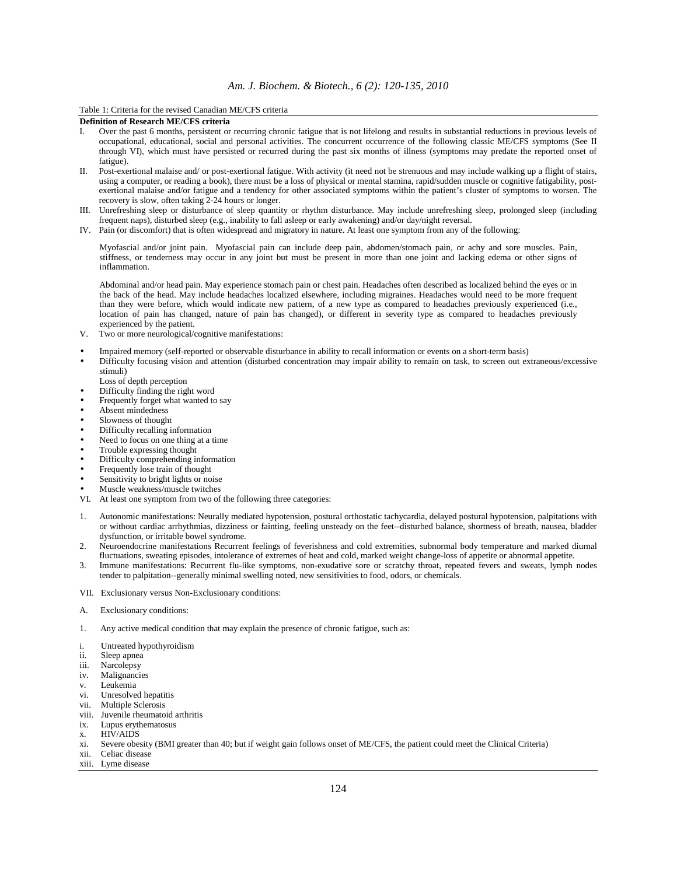#### Table 1: Criteria for the revised Canadian ME/CFS criteria

#### **Definition of Research ME/CFS criteria**

- I. Over the past 6 months, persistent or recurring chronic fatigue that is not lifelong and results in substantial reductions in previous levels of occupational, educational, social and personal activities. The concurrent occurrence of the following classic ME/CFS symptoms (See II through VI), which must have persisted or recurred during the past six months of illness (symptoms may predate the reported onset of fatigue).
- II. Post-exertional malaise and/ or post-exertional fatigue. With activity (it need not be strenuous and may include walking up a flight of stairs, using a computer, or reading a book), there must be a loss of physical or mental stamina, rapid/sudden muscle or cognitive fatigability, postexertional malaise and/or fatigue and a tendency for other associated symptoms within the patient's cluster of symptoms to worsen. The recovery is slow, often taking 2-24 hours or longer.
- III. Unrefreshing sleep or disturbance of sleep quantity or rhythm disturbance. May include unrefreshing sleep, prolonged sleep (including frequent naps), disturbed sleep (e.g., inability to fall asleep or early awakening) and/or day/night reversal.
- IV. Pain (or discomfort) that is often widespread and migratory in nature. At least one symptom from any of the following:

Myofascial and/or joint pain. Myofascial pain can include deep pain, abdomen/stomach pain, or achy and sore muscles. Pain, stiffness, or tenderness may occur in any joint but must be present in more than one joint and lacking edema or other signs of inflammation.

Abdominal and/or head pain. May experience stomach pain or chest pain. Headaches often described as localized behind the eyes or in the back of the head. May include headaches localized elsewhere, including migraines. Headaches would need to be more frequent than they were before, which would indicate new pattern, of a new type as compared to headaches previously experienced (i.e., location of pain has changed, nature of pain has changed), or different in severity type as compared to headaches previously experienced by the patient.

- V. Two or more neurological/cognitive manifestations:
- Impaired memory (self-reported or observable disturbance in ability to recall information or events on a short-term basis)
- Difficulty focusing vision and attention (disturbed concentration may impair ability to remain on task, to screen out extraneous/excessive stimuli)
- Loss of depth perception
- Difficulty finding the right word
- Frequently forget what wanted to say
- Absent mindedness
- Slowness of thought
- Difficulty recalling information
- Need to focus on one thing at a time
- Trouble expressing thought
- Difficulty comprehending information
- Frequently lose train of thought
- Sensitivity to bright lights or noise
- Muscle weakness/muscle twitches
- VI. At least one symptom from two of the following three categories:
- 1. Autonomic manifestations: Neurally mediated hypotension, postural orthostatic tachycardia, delayed postural hypotension, palpitations with or without cardiac arrhythmias, dizziness or fainting, feeling unsteady on the feet--disturbed balance, shortness of breath, nausea, bladder dysfunction, or irritable bowel syndrome.
- 2. Neuroendocrine manifestations Recurrent feelings of feverishness and cold extremities, subnormal body temperature and marked diurnal fluctuations, sweating episodes, intolerance of extremes of heat and cold, marked weight change-loss of appetite or abnormal appetite.
- Immune manifestations: Recurrent flu-like symptoms, non-exudative sore or scratchy throat, repeated fevers and sweats, lymph nodes tender to palpitation--generally minimal swelling noted, new sensitivities to food, odors, or chemicals.
- VII. Exclusionary versus Non-Exclusionary conditions:
- A. Exclusionary conditions:
- 1. Any active medical condition that may explain the presence of chronic fatigue, such as:
- i. Untreated hypothyroidism
- ii. Sleep apnea
- iii. Narcolepsy
- iv. Malignancies
- v. Leukemia
- vi. Unresolved hepatitis
- vii. Multiple Sclerosis
- viii. Juvenile rheumatoid arthritis
- ix. Lupus erythematosus
- x. HIV/AIDS
- xi. Severe obesity (BMI greater than 40; but if weight gain follows onset of ME/CFS, the patient could meet the Clinical Criteria)
- xii. Celiac disease
- xiii. Lyme disease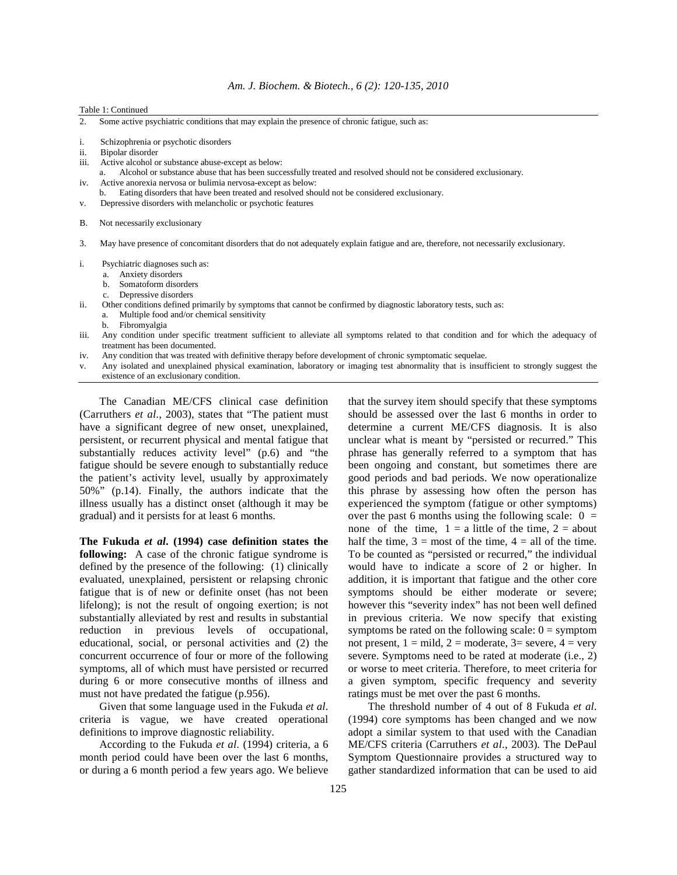#### Table 1: Continued

- 2. Some active psychiatric conditions that may explain the presence of chronic fatigue, such as:
- i. Schizophrenia or psychotic disorders
- ii. Bipolar disorder
- iii. Active alcohol or substance abuse-except as below:
- a. Alcohol or substance abuse that has been successfully treated and resolved should not be considered exclusionary. iv. Active anorexia nervosa or bulimia nervosa-except as below:
- b. Eating disorders that have been treated and resolved should not be considered exclusionary.
- v. Depressive disorders with melancholic or psychotic features
- B. Not necessarily exclusionary
- 3. May have presence of concomitant disorders that do not adequately explain fatigue and are, therefore, not necessarily exclusionary.
- i. Psychiatric diagnoses such as:
	- a. Anxiety disorders
	- b. Somatoform disorders
	- c. Depressive disorders
- ii. Other conditions defined primarily by symptoms that cannot be confirmed by diagnostic laboratory tests, such as:
	- a. Multiple food and/or chemical sensitivity
- b. Fibromyalgia
- iii. Any condition under specific treatment sufficient to alleviate all symptoms related to that condition and for which the adequacy of treatment has been documented.
- iv. Any condition that was treated with definitive therapy before development of chronic symptomatic sequelae.
- v. Any isolated and unexplained physical examination, laboratory or imaging test abnormality that is insufficient to strongly suggest the existence of an exclusionary condition.

 The Canadian ME/CFS clinical case definition (Carruthers *et al*., 2003), states that "The patient must have a significant degree of new onset, unexplained, persistent, or recurrent physical and mental fatigue that substantially reduces activity level" (p.6) and "the fatigue should be severe enough to substantially reduce the patient's activity level, usually by approximately 50%" (p.14). Finally, the authors indicate that the illness usually has a distinct onset (although it may be gradual) and it persists for at least 6 months.

**The Fukuda** *et al***. (1994) case definition states the following:** A case of the chronic fatigue syndrome is defined by the presence of the following: (1) clinically evaluated, unexplained, persistent or relapsing chronic fatigue that is of new or definite onset (has not been lifelong); is not the result of ongoing exertion; is not substantially alleviated by rest and results in substantial reduction in previous levels of occupational, educational, social, or personal activities and (2) the concurrent occurrence of four or more of the following symptoms, all of which must have persisted or recurred during 6 or more consecutive months of illness and must not have predated the fatigue (p.956).

 Given that some language used in the Fukuda *et al*. criteria is vague, we have created operational definitions to improve diagnostic reliability.

 According to the Fukuda *et al*. (1994) criteria, a 6 month period could have been over the last 6 months, or during a 6 month period a few years ago. We believe

that the survey item should specify that these symptoms should be assessed over the last 6 months in order to determine a current ME/CFS diagnosis. It is also unclear what is meant by "persisted or recurred." This phrase has generally referred to a symptom that has been ongoing and constant, but sometimes there are good periods and bad periods. We now operationalize this phrase by assessing how often the person has experienced the symptom (fatigue or other symptoms) over the past 6 months using the following scale:  $0 =$ none of the time,  $1 = a$  little of the time,  $2 = about$ half the time,  $3 = \text{most of the time}, 4 = \text{all of the time}.$ To be counted as "persisted or recurred," the individual would have to indicate a score of 2 or higher. In addition, it is important that fatigue and the other core symptoms should be either moderate or severe; however this "severity index" has not been well defined in previous criteria. We now specify that existing symptoms be rated on the following scale:  $0 =$  symptom not present,  $1 = \text{mild}, 2 = \text{moderate}, 3 = \text{severe}, 4 = \text{very}$ severe. Symptoms need to be rated at moderate (i.e., 2) or worse to meet criteria. Therefore, to meet criteria for a given symptom, specific frequency and severity ratings must be met over the past 6 months.

 The threshold number of 4 out of 8 Fukuda *et al*. (1994) core symptoms has been changed and we now adopt a similar system to that used with the Canadian ME/CFS criteria (Carruthers *et al*., 2003). The DePaul Symptom Questionnaire provides a structured way to gather standardized information that can be used to aid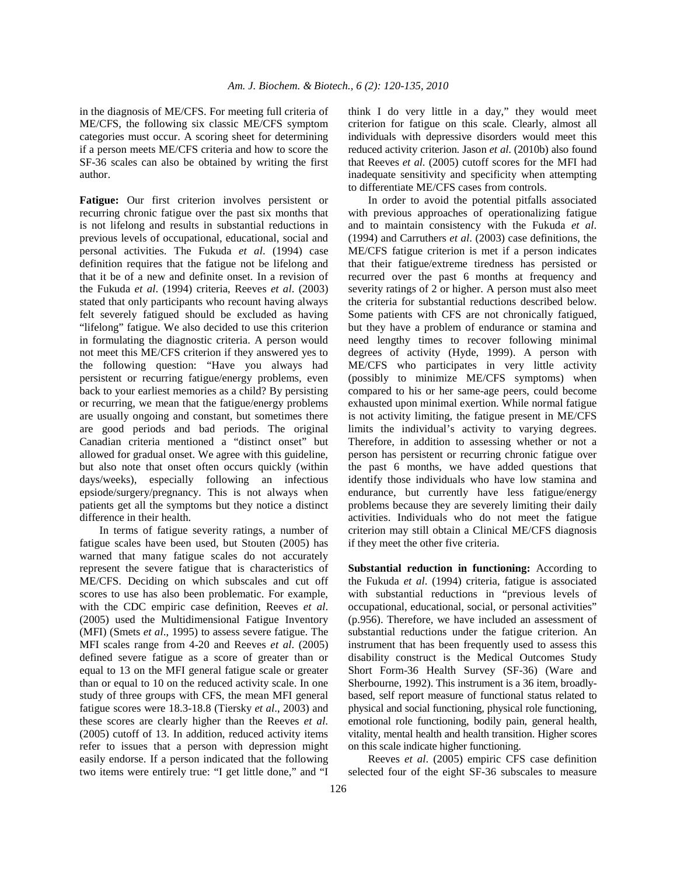in the diagnosis of ME/CFS. For meeting full criteria of ME/CFS, the following six classic ME/CFS symptom categories must occur. A scoring sheet for determining if a person meets ME/CFS criteria and how to score the SF-36 scales can also be obtained by writing the first author.

**Fatigue:** Our first criterion involves persistent or recurring chronic fatigue over the past six months that is not lifelong and results in substantial reductions in previous levels of occupational, educational, social and personal activities. The Fukuda *et al*. (1994) case definition requires that the fatigue not be lifelong and that it be of a new and definite onset. In a revision of the Fukuda *et al*. (1994) criteria, Reeves *et al*. (2003) stated that only participants who recount having always felt severely fatigued should be excluded as having "lifelong" fatigue. We also decided to use this criterion in formulating the diagnostic criteria. A person would not meet this ME/CFS criterion if they answered yes to the following question: "Have you always had persistent or recurring fatigue/energy problems, even back to your earliest memories as a child? By persisting or recurring, we mean that the fatigue/energy problems are usually ongoing and constant, but sometimes there are good periods and bad periods. The original Canadian criteria mentioned a "distinct onset" but allowed for gradual onset. We agree with this guideline, but also note that onset often occurs quickly (within days/weeks), especially following an infectious epsiode/surgery/pregnancy. This is not always when patients get all the symptoms but they notice a distinct difference in their health.

 In terms of fatigue severity ratings, a number of fatigue scales have been used, but Stouten (2005) has warned that many fatigue scales do not accurately represent the severe fatigue that is characteristics of ME/CFS. Deciding on which subscales and cut off scores to use has also been problematic. For example, with the CDC empiric case definition, Reeves *et al*. (2005) used the Multidimensional Fatigue Inventory (MFI) (Smets *et al*., 1995) to assess severe fatigue. The MFI scales range from 4-20 and Reeves *et al*. (2005) defined severe fatigue as a score of greater than or equal to 13 on the MFI general fatigue scale or greater than or equal to 10 on the reduced activity scale. In one study of three groups with CFS, the mean MFI general fatigue scores were 18.3-18.8 (Tiersky *et al*., 2003) and these scores are clearly higher than the Reeves *et al*. (2005) cutoff of 13. In addition, reduced activity items refer to issues that a person with depression might easily endorse. If a person indicated that the following two items were entirely true: "I get little done," and "I

think I do very little in a day," they would meet criterion for fatigue on this scale. Clearly, almost all individuals with depressive disorders would meet this reduced activity criterion. Jason *et al*. (2010b) also found that Reeves *et al*. (2005) cutoff scores for the MFI had inadequate sensitivity and specificity when attempting to differentiate ME/CFS cases from controls.

 In order to avoid the potential pitfalls associated with previous approaches of operationalizing fatigue and to maintain consistency with the Fukuda *et al*. (1994) and Carruthers *et al*. (2003) case definitions, the ME/CFS fatigue criterion is met if a person indicates that their fatigue/extreme tiredness has persisted or recurred over the past 6 months at frequency and severity ratings of 2 or higher. A person must also meet the criteria for substantial reductions described below. Some patients with CFS are not chronically fatigued, but they have a problem of endurance or stamina and need lengthy times to recover following minimal degrees of activity (Hyde, 1999). A person with ME/CFS who participates in very little activity (possibly to minimize ME/CFS symptoms) when compared to his or her same-age peers, could become exhausted upon minimal exertion. While normal fatigue is not activity limiting, the fatigue present in ME/CFS limits the individual's activity to varying degrees. Therefore, in addition to assessing whether or not a person has persistent or recurring chronic fatigue over the past 6 months, we have added questions that identify those individuals who have low stamina and endurance, but currently have less fatigue/energy problems because they are severely limiting their daily activities. Individuals who do not meet the fatigue criterion may still obtain a Clinical ME/CFS diagnosis if they meet the other five criteria.

**Substantial reduction in functioning:** According to the Fukuda *et al*. (1994) criteria, fatigue is associated with substantial reductions in "previous levels of occupational, educational, social, or personal activities" (p.956). Therefore, we have included an assessment of substantial reductions under the fatigue criterion. An instrument that has been frequently used to assess this disability construct is the Medical Outcomes Study Short Form-36 Health Survey (SF-36) (Ware and Sherbourne, 1992). This instrument is a 36 item, broadlybased, self report measure of functional status related to physical and social functioning, physical role functioning, emotional role functioning, bodily pain, general health, vitality, mental health and health transition. Higher scores on this scale indicate higher functioning.

 Reeves *et al*. (2005) empiric CFS case definition selected four of the eight SF-36 subscales to measure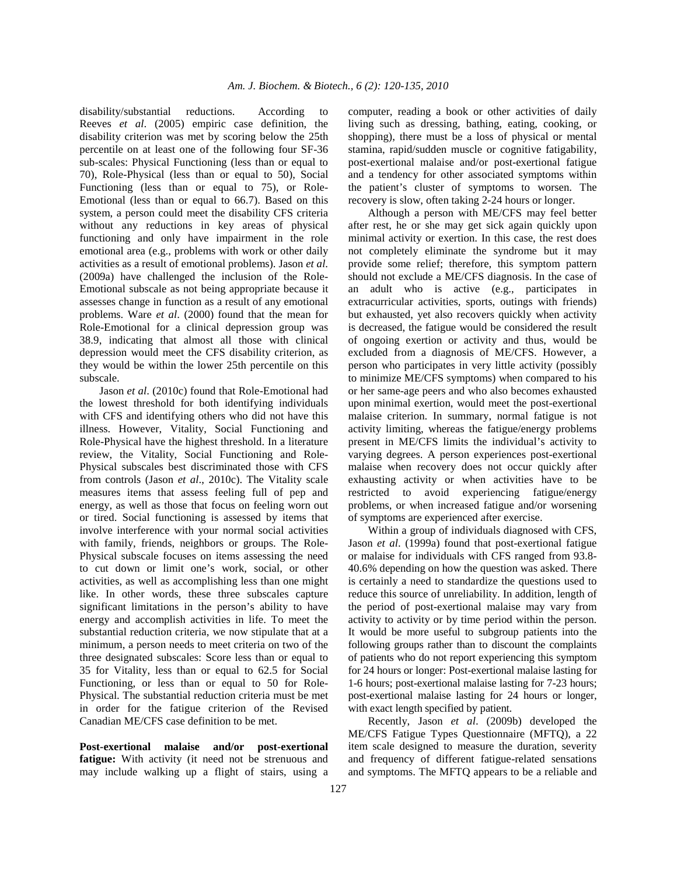disability/substantial reductions. According to Reeves *et al*. (2005) empiric case definition, the disability criterion was met by scoring below the 25th percentile on at least one of the following four SF-36 sub-scales: Physical Functioning (less than or equal to 70), Role-Physical (less than or equal to 50), Social Functioning (less than or equal to 75), or Role-Emotional (less than or equal to 66.7). Based on this system, a person could meet the disability CFS criteria without any reductions in key areas of physical functioning and only have impairment in the role emotional area (e.g., problems with work or other daily activities as a result of emotional problems). Jason *et al*. (2009a) have challenged the inclusion of the Role-Emotional subscale as not being appropriate because it assesses change in function as a result of any emotional problems. Ware *et al*. (2000) found that the mean for Role-Emotional for a clinical depression group was 38.9, indicating that almost all those with clinical depression would meet the CFS disability criterion, as they would be within the lower 25th percentile on this subscale.

 Jason *et al*. (2010c) found that Role-Emotional had the lowest threshold for both identifying individuals with CFS and identifying others who did not have this illness. However, Vitality, Social Functioning and Role-Physical have the highest threshold. In a literature review, the Vitality, Social Functioning and Role-Physical subscales best discriminated those with CFS from controls (Jason *et al*., 2010c). The Vitality scale measures items that assess feeling full of pep and energy, as well as those that focus on feeling worn out or tired. Social functioning is assessed by items that involve interference with your normal social activities with family, friends, neighbors or groups. The Role-Physical subscale focuses on items assessing the need to cut down or limit one's work, social, or other activities, as well as accomplishing less than one might like. In other words, these three subscales capture significant limitations in the person's ability to have energy and accomplish activities in life. To meet the substantial reduction criteria, we now stipulate that at a minimum, a person needs to meet criteria on two of the three designated subscales: Score less than or equal to 35 for Vitality, less than or equal to 62.5 for Social Functioning, or less than or equal to 50 for Role-Physical. The substantial reduction criteria must be met in order for the fatigue criterion of the Revised Canadian ME/CFS case definition to be met.

**Post-exertional malaise and/or post-exertional fatigue:** With activity (it need not be strenuous and may include walking up a flight of stairs, using a computer, reading a book or other activities of daily living such as dressing, bathing, eating, cooking, or shopping), there must be a loss of physical or mental stamina, rapid/sudden muscle or cognitive fatigability, post-exertional malaise and/or post-exertional fatigue and a tendency for other associated symptoms within the patient's cluster of symptoms to worsen. The recovery is slow, often taking 2-24 hours or longer.

 Although a person with ME/CFS may feel better after rest, he or she may get sick again quickly upon minimal activity or exertion. In this case, the rest does not completely eliminate the syndrome but it may provide some relief; therefore, this symptom pattern should not exclude a ME/CFS diagnosis. In the case of an adult who is active (e.g., participates in extracurricular activities, sports, outings with friends) but exhausted, yet also recovers quickly when activity is decreased, the fatigue would be considered the result of ongoing exertion or activity and thus, would be excluded from a diagnosis of ME/CFS. However, a person who participates in very little activity (possibly to minimize ME/CFS symptoms) when compared to his or her same-age peers and who also becomes exhausted upon minimal exertion, would meet the post-exertional malaise criterion. In summary, normal fatigue is not activity limiting, whereas the fatigue/energy problems present in ME/CFS limits the individual's activity to varying degrees. A person experiences post-exertional malaise when recovery does not occur quickly after exhausting activity or when activities have to be restricted to avoid experiencing fatigue/energy problems, or when increased fatigue and/or worsening of symptoms are experienced after exercise.

 Within a group of individuals diagnosed with CFS, Jason *et al*. (1999a) found that post-exertional fatigue or malaise for individuals with CFS ranged from 93.8- 40.6% depending on how the question was asked. There is certainly a need to standardize the questions used to reduce this source of unreliability. In addition, length of the period of post-exertional malaise may vary from activity to activity or by time period within the person. It would be more useful to subgroup patients into the following groups rather than to discount the complaints of patients who do not report experiencing this symptom for 24 hours or longer: Post-exertional malaise lasting for 1-6 hours; post-exertional malaise lasting for 7-23 hours; post-exertional malaise lasting for 24 hours or longer, with exact length specified by patient.

 Recently, Jason *et al*. (2009b) developed the ME/CFS Fatigue Types Questionnaire (MFTQ), a 22 item scale designed to measure the duration, severity and frequency of different fatigue-related sensations and symptoms. The MFTQ appears to be a reliable and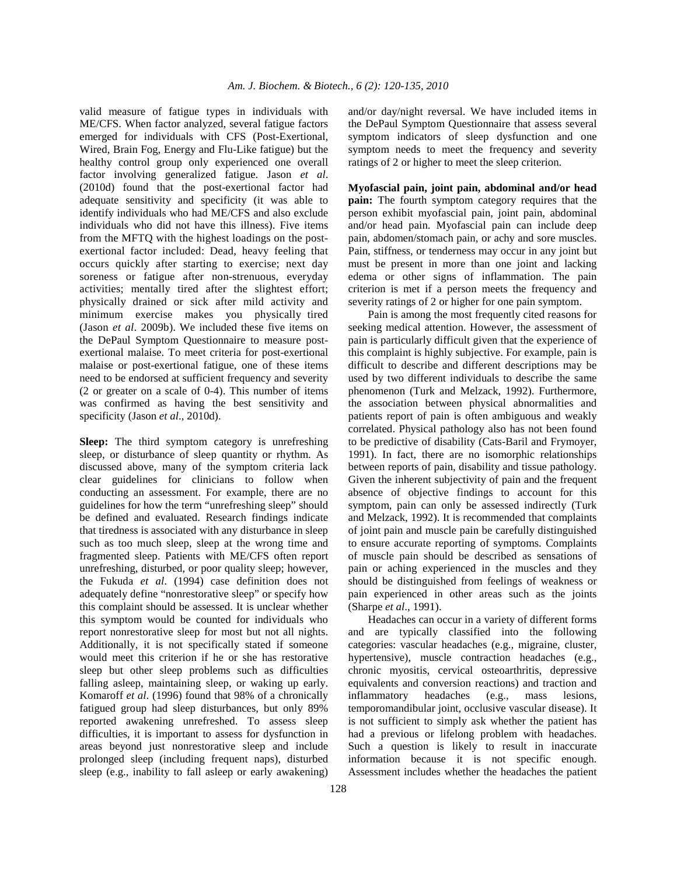valid measure of fatigue types in individuals with ME/CFS. When factor analyzed, several fatigue factors emerged for individuals with CFS (Post-Exertional, Wired, Brain Fog, Energy and Flu-Like fatigue) but the healthy control group only experienced one overall factor involving generalized fatigue. Jason *et al*. (2010d) found that the post-exertional factor had adequate sensitivity and specificity (it was able to identify individuals who had ME/CFS and also exclude individuals who did not have this illness). Five items from the MFTQ with the highest loadings on the postexertional factor included: Dead, heavy feeling that occurs quickly after starting to exercise; next day soreness or fatigue after non-strenuous, everyday activities; mentally tired after the slightest effort; physically drained or sick after mild activity and minimum exercise makes you physically tired (Jason *et al*. 2009b). We included these five items on the DePaul Symptom Questionnaire to measure postexertional malaise. To meet criteria for post-exertional malaise or post-exertional fatigue, one of these items need to be endorsed at sufficient frequency and severity (2 or greater on a scale of 0-4). This number of items was confirmed as having the best sensitivity and specificity (Jason *et al*., 2010d).

**Sleep:** The third symptom category is unrefreshing sleep, or disturbance of sleep quantity or rhythm. As discussed above, many of the symptom criteria lack clear guidelines for clinicians to follow when conducting an assessment. For example, there are no guidelines for how the term "unrefreshing sleep" should be defined and evaluated. Research findings indicate that tiredness is associated with any disturbance in sleep such as too much sleep, sleep at the wrong time and fragmented sleep. Patients with ME/CFS often report unrefreshing, disturbed, or poor quality sleep; however, the Fukuda *et al*. (1994) case definition does not adequately define "nonrestorative sleep" or specify how this complaint should be assessed. It is unclear whether this symptom would be counted for individuals who report nonrestorative sleep for most but not all nights. Additionally, it is not specifically stated if someone would meet this criterion if he or she has restorative sleep but other sleep problems such as difficulties falling asleep, maintaining sleep, or waking up early. Komaroff *et al*. (1996) found that 98% of a chronically fatigued group had sleep disturbances, but only 89% reported awakening unrefreshed. To assess sleep difficulties, it is important to assess for dysfunction in areas beyond just nonrestorative sleep and include prolonged sleep (including frequent naps), disturbed sleep (e.g., inability to fall asleep or early awakening)

and/or day/night reversal. We have included items in the DePaul Symptom Questionnaire that assess several symptom indicators of sleep dysfunction and one symptom needs to meet the frequency and severity ratings of 2 or higher to meet the sleep criterion.

**Myofascial pain, joint pain, abdominal and/or head pain:** The fourth symptom category requires that the person exhibit myofascial pain, joint pain, abdominal and/or head pain. Myofascial pain can include deep pain, abdomen/stomach pain, or achy and sore muscles. Pain, stiffness, or tenderness may occur in any joint but must be present in more than one joint and lacking edema or other signs of inflammation. The pain criterion is met if a person meets the frequency and severity ratings of 2 or higher for one pain symptom.

 Pain is among the most frequently cited reasons for seeking medical attention. However, the assessment of pain is particularly difficult given that the experience of this complaint is highly subjective. For example, pain is difficult to describe and different descriptions may be used by two different individuals to describe the same phenomenon (Turk and Melzack, 1992). Furthermore, the association between physical abnormalities and patients report of pain is often ambiguous and weakly correlated. Physical pathology also has not been found to be predictive of disability (Cats-Baril and Frymoyer, 1991). In fact, there are no isomorphic relationships between reports of pain, disability and tissue pathology. Given the inherent subjectivity of pain and the frequent absence of objective findings to account for this symptom, pain can only be assessed indirectly (Turk and Melzack, 1992). It is recommended that complaints of joint pain and muscle pain be carefully distinguished to ensure accurate reporting of symptoms. Complaints of muscle pain should be described as sensations of pain or aching experienced in the muscles and they should be distinguished from feelings of weakness or pain experienced in other areas such as the joints (Sharpe *et al*., 1991).

 Headaches can occur in a variety of different forms and are typically classified into the following categories: vascular headaches (e.g., migraine, cluster, hypertensive), muscle contraction headaches (e.g., chronic myositis, cervical osteoarthritis, depressive equivalents and conversion reactions) and traction and inflammatory headaches (e.g., mass lesions, temporomandibular joint, occlusive vascular disease). It is not sufficient to simply ask whether the patient has had a previous or lifelong problem with headaches. Such a question is likely to result in inaccurate information because it is not specific enough. Assessment includes whether the headaches the patient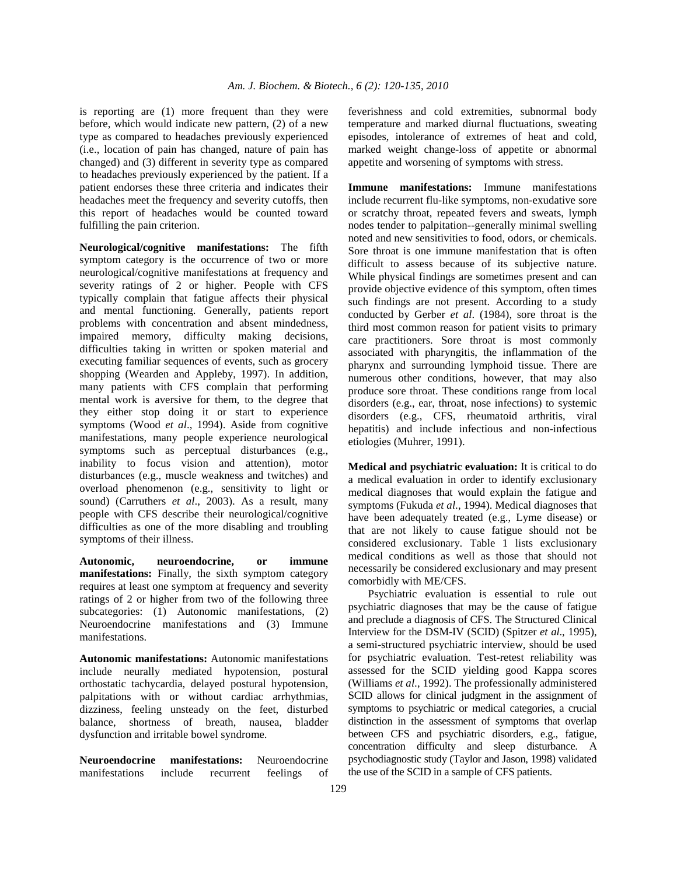is reporting are (1) more frequent than they were before, which would indicate new pattern, (2) of a new type as compared to headaches previously experienced (i.e., location of pain has changed, nature of pain has changed) and (3) different in severity type as compared to headaches previously experienced by the patient. If a patient endorses these three criteria and indicates their headaches meet the frequency and severity cutoffs, then this report of headaches would be counted toward fulfilling the pain criterion.

**Neurological/cognitive manifestations:** The fifth symptom category is the occurrence of two or more neurological/cognitive manifestations at frequency and severity ratings of 2 or higher. People with CFS typically complain that fatigue affects their physical and mental functioning. Generally, patients report problems with concentration and absent mindedness, impaired memory, difficulty making decisions, difficulties taking in written or spoken material and executing familiar sequences of events, such as grocery shopping (Wearden and Appleby, 1997). In addition, many patients with CFS complain that performing mental work is aversive for them, to the degree that they either stop doing it or start to experience symptoms (Wood *et al*., 1994). Aside from cognitive manifestations, many people experience neurological symptoms such as perceptual disturbances (e.g., inability to focus vision and attention), motor disturbances (e.g., muscle weakness and twitches) and overload phenomenon (e.g., sensitivity to light or sound) (Carruthers *et al*., 2003). As a result, many people with CFS describe their neurological/cognitive difficulties as one of the more disabling and troubling symptoms of their illness.

**Autonomic, neuroendocrine, or immune manifestations:** Finally, the sixth symptom category requires at least one symptom at frequency and severity ratings of 2 or higher from two of the following three subcategories: (1) Autonomic manifestations, (2) Neuroendocrine manifestations and (3) Immune manifestations.

**Autonomic manifestations:** Autonomic manifestations include neurally mediated hypotension, postural orthostatic tachycardia, delayed postural hypotension, palpitations with or without cardiac arrhythmias, dizziness, feeling unsteady on the feet, disturbed balance, shortness of breath, nausea, bladder dysfunction and irritable bowel syndrome.

**Neuroendocrine manifestations:** Neuroendocrine manifestations include recurrent feelings of feverishness and cold extremities, subnormal body temperature and marked diurnal fluctuations, sweating episodes, intolerance of extremes of heat and cold, marked weight change-loss of appetite or abnormal appetite and worsening of symptoms with stress.

**Immune manifestations:** Immune manifestations include recurrent flu-like symptoms, non-exudative sore or scratchy throat, repeated fevers and sweats, lymph nodes tender to palpitation--generally minimal swelling noted and new sensitivities to food, odors, or chemicals. Sore throat is one immune manifestation that is often difficult to assess because of its subjective nature. While physical findings are sometimes present and can provide objective evidence of this symptom, often times such findings are not present. According to a study conducted by Gerber *et al*. (1984), sore throat is the third most common reason for patient visits to primary care practitioners. Sore throat is most commonly associated with pharyngitis, the inflammation of the pharynx and surrounding lymphoid tissue. There are numerous other conditions, however, that may also produce sore throat. These conditions range from local disorders (e.g., ear, throat, nose infections) to systemic disorders (e.g., CFS, rheumatoid arthritis, viral hepatitis) and include infectious and non-infectious etiologies (Muhrer, 1991).

**Medical and psychiatric evaluation:** It is critical to do a medical evaluation in order to identify exclusionary medical diagnoses that would explain the fatigue and symptoms (Fukuda *et al*., 1994). Medical diagnoses that have been adequately treated (e.g., Lyme disease) or that are not likely to cause fatigue should not be considered exclusionary. Table 1 lists exclusionary medical conditions as well as those that should not necessarily be considered exclusionary and may present comorbidly with ME/CFS.

 Psychiatric evaluation is essential to rule out psychiatric diagnoses that may be the cause of fatigue and preclude a diagnosis of CFS. The Structured Clinical Interview for the DSM-IV (SCID) (Spitzer *et al*., 1995), a semi-structured psychiatric interview, should be used for psychiatric evaluation. Test-retest reliability was assessed for the SCID yielding good Kappa scores (Williams *et al*., 1992). The professionally administered SCID allows for clinical judgment in the assignment of symptoms to psychiatric or medical categories, a crucial distinction in the assessment of symptoms that overlap between CFS and psychiatric disorders, e.g., fatigue, concentration difficulty and sleep disturbance. A psychodiagnostic study (Taylor and Jason, 1998) validated the use of the SCID in a sample of CFS patients.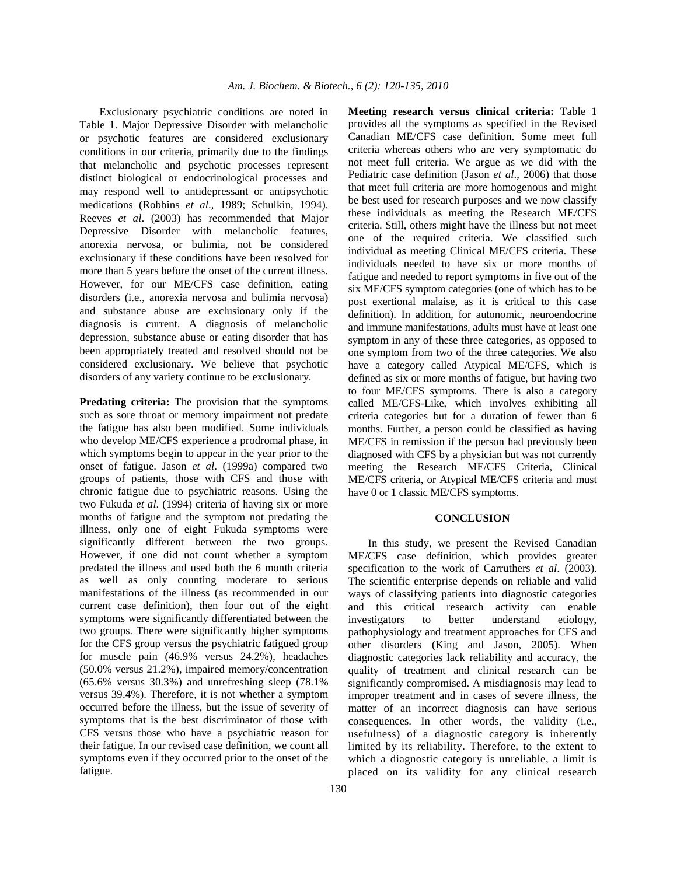Exclusionary psychiatric conditions are noted in Table 1. Major Depressive Disorder with melancholic or psychotic features are considered exclusionary conditions in our criteria, primarily due to the findings that melancholic and psychotic processes represent distinct biological or endocrinological processes and may respond well to antidepressant or antipsychotic medications (Robbins *et al*., 1989; Schulkin, 1994). Reeves *et al*. (2003) has recommended that Major Depressive Disorder with melancholic features, anorexia nervosa, or bulimia, not be considered exclusionary if these conditions have been resolved for more than 5 years before the onset of the current illness. However, for our ME/CFS case definition, eating disorders (i.e., anorexia nervosa and bulimia nervosa) and substance abuse are exclusionary only if the diagnosis is current. A diagnosis of melancholic depression, substance abuse or eating disorder that has been appropriately treated and resolved should not be considered exclusionary. We believe that psychotic disorders of any variety continue to be exclusionary.

**Predating criteria:** The provision that the symptoms such as sore throat or memory impairment not predate the fatigue has also been modified. Some individuals who develop ME/CFS experience a prodromal phase, in which symptoms begin to appear in the year prior to the onset of fatigue. Jason *et al*. (1999a) compared two groups of patients, those with CFS and those with chronic fatigue due to psychiatric reasons. Using the two Fukuda *et al*. (1994) criteria of having six or more months of fatigue and the symptom not predating the illness, only one of eight Fukuda symptoms were significantly different between the two groups. However, if one did not count whether a symptom predated the illness and used both the 6 month criteria as well as only counting moderate to serious manifestations of the illness (as recommended in our current case definition), then four out of the eight symptoms were significantly differentiated between the two groups. There were significantly higher symptoms for the CFS group versus the psychiatric fatigued group for muscle pain (46.9% versus 24.2%), headaches (50.0% versus 21.2%), impaired memory/concentration (65.6% versus 30.3%) and unrefreshing sleep (78.1% versus 39.4%). Therefore, it is not whether a symptom occurred before the illness, but the issue of severity of symptoms that is the best discriminator of those with CFS versus those who have a psychiatric reason for their fatigue. In our revised case definition, we count all symptoms even if they occurred prior to the onset of the fatigue.

**Meeting research versus clinical criteria:** Table 1 provides all the symptoms as specified in the Revised Canadian ME/CFS case definition. Some meet full criteria whereas others who are very symptomatic do not meet full criteria. We argue as we did with the Pediatric case definition (Jason *et al*., 2006) that those that meet full criteria are more homogenous and might be best used for research purposes and we now classify these individuals as meeting the Research ME/CFS criteria. Still, others might have the illness but not meet one of the required criteria. We classified such individual as meeting Clinical ME/CFS criteria. These individuals needed to have six or more months of fatigue and needed to report symptoms in five out of the six ME/CFS symptom categories (one of which has to be post exertional malaise, as it is critical to this case definition). In addition, for autonomic, neuroendocrine and immune manifestations, adults must have at least one symptom in any of these three categories, as opposed to one symptom from two of the three categories. We also have a category called Atypical ME/CFS, which is defined as six or more months of fatigue, but having two to four ME/CFS symptoms. There is also a category called ME/CFS-Like, which involves exhibiting all criteria categories but for a duration of fewer than 6 months. Further, a person could be classified as having ME/CFS in remission if the person had previously been diagnosed with CFS by a physician but was not currently meeting the Research ME/CFS Criteria, Clinical ME/CFS criteria, or Atypical ME/CFS criteria and must have 0 or 1 classic ME/CFS symptoms.

### **CONCLUSION**

 In this study, we present the Revised Canadian ME/CFS case definition, which provides greater specification to the work of Carruthers *et al*. (2003). The scientific enterprise depends on reliable and valid ways of classifying patients into diagnostic categories and this critical research activity can enable investigators to better understand etiology, pathophysiology and treatment approaches for CFS and other disorders (King and Jason, 2005). When diagnostic categories lack reliability and accuracy, the quality of treatment and clinical research can be significantly compromised. A misdiagnosis may lead to improper treatment and in cases of severe illness, the matter of an incorrect diagnosis can have serious consequences. In other words, the validity (i.e., usefulness) of a diagnostic category is inherently limited by its reliability. Therefore, to the extent to which a diagnostic category is unreliable, a limit is placed on its validity for any clinical research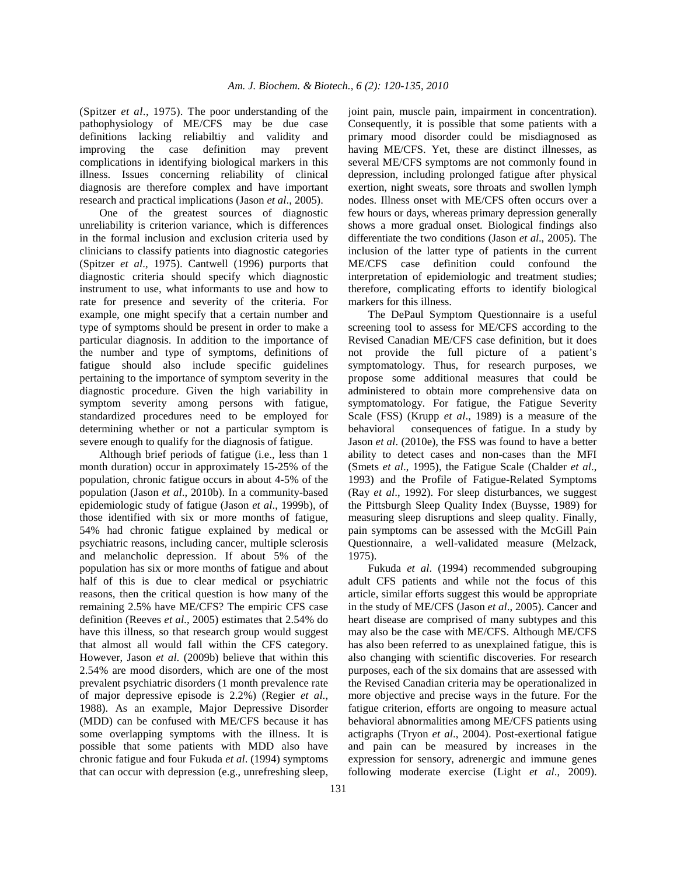(Spitzer *et al*., 1975). The poor understanding of the pathophysiology of ME/CFS may be due case definitions lacking reliabiltiy and validity and improving the case definition may prevent complications in identifying biological markers in this illness. Issues concerning reliability of clinical diagnosis are therefore complex and have important research and practical implications (Jason *et al*., 2005).

 One of the greatest sources of diagnostic unreliability is criterion variance, which is differences in the formal inclusion and exclusion criteria used by clinicians to classify patients into diagnostic categories (Spitzer *et al*., 1975). Cantwell (1996) purports that diagnostic criteria should specify which diagnostic instrument to use, what informants to use and how to rate for presence and severity of the criteria. For example, one might specify that a certain number and type of symptoms should be present in order to make a particular diagnosis. In addition to the importance of the number and type of symptoms, definitions of fatigue should also include specific guidelines pertaining to the importance of symptom severity in the diagnostic procedure. Given the high variability in symptom severity among persons with fatigue, standardized procedures need to be employed for determining whether or not a particular symptom is severe enough to qualify for the diagnosis of fatigue.

 Although brief periods of fatigue (i.e., less than 1 month duration) occur in approximately 15-25% of the population, chronic fatigue occurs in about 4-5% of the population (Jason *et al*., 2010b). In a community-based epidemiologic study of fatigue (Jason *et al*., 1999b), of those identified with six or more months of fatigue, 54% had chronic fatigue explained by medical or psychiatric reasons, including cancer, multiple sclerosis and melancholic depression. If about 5% of the population has six or more months of fatigue and about half of this is due to clear medical or psychiatric reasons, then the critical question is how many of the remaining 2.5% have ME/CFS? The empiric CFS case definition (Reeves *et al*., 2005) estimates that 2.54% do have this illness, so that research group would suggest that almost all would fall within the CFS category. However, Jason *et al*. (2009b) believe that within this 2.54% are mood disorders, which are one of the most prevalent psychiatric disorders (1 month prevalence rate of major depressive episode is 2.2%) (Regier *et al*., 1988). As an example, Major Depressive Disorder (MDD) can be confused with ME/CFS because it has some overlapping symptoms with the illness. It is possible that some patients with MDD also have chronic fatigue and four Fukuda *et al*. (1994) symptoms that can occur with depression (e.g., unrefreshing sleep,

joint pain, muscle pain, impairment in concentration). Consequently, it is possible that some patients with a primary mood disorder could be misdiagnosed as having ME/CFS. Yet, these are distinct illnesses, as several ME/CFS symptoms are not commonly found in depression, including prolonged fatigue after physical exertion, night sweats, sore throats and swollen lymph nodes. Illness onset with ME/CFS often occurs over a few hours or days, whereas primary depression generally shows a more gradual onset. Biological findings also differentiate the two conditions (Jason *et al*., 2005). The inclusion of the latter type of patients in the current ME/CFS case definition could confound the interpretation of epidemiologic and treatment studies; therefore, complicating efforts to identify biological markers for this illness.

 The DePaul Symptom Questionnaire is a useful screening tool to assess for ME/CFS according to the Revised Canadian ME/CFS case definition, but it does not provide the full picture of a patient's symptomatology. Thus, for research purposes, we propose some additional measures that could be administered to obtain more comprehensive data on symptomatology. For fatigue, the Fatigue Severity Scale (FSS) (Krupp *et al*., 1989) is a measure of the behavioral consequences of fatigue. In a study by Jason *et al*. (2010e), the FSS was found to have a better ability to detect cases and non-cases than the MFI (Smets *et al*., 1995), the Fatigue Scale (Chalder *et al*., 1993) and the Profile of Fatigue-Related Symptoms (Ray *et al*., 1992). For sleep disturbances, we suggest the Pittsburgh Sleep Quality Index (Buysse, 1989) for measuring sleep disruptions and sleep quality. Finally, pain symptoms can be assessed with the McGill Pain Questionnaire, a well-validated measure (Melzack, 1975).

 Fukuda *et al*. (1994) recommended subgrouping adult CFS patients and while not the focus of this article, similar efforts suggest this would be appropriate in the study of ME/CFS (Jason *et al*., 2005). Cancer and heart disease are comprised of many subtypes and this may also be the case with ME/CFS. Although ME/CFS has also been referred to as unexplained fatigue, this is also changing with scientific discoveries. For research purposes, each of the six domains that are assessed with the Revised Canadian criteria may be operationalized in more objective and precise ways in the future. For the fatigue criterion, efforts are ongoing to measure actual behavioral abnormalities among ME/CFS patients using actigraphs (Tryon *et al*., 2004). Post-exertional fatigue and pain can be measured by increases in the expression for sensory, adrenergic and immune genes following moderate exercise (Light *et al*., 2009).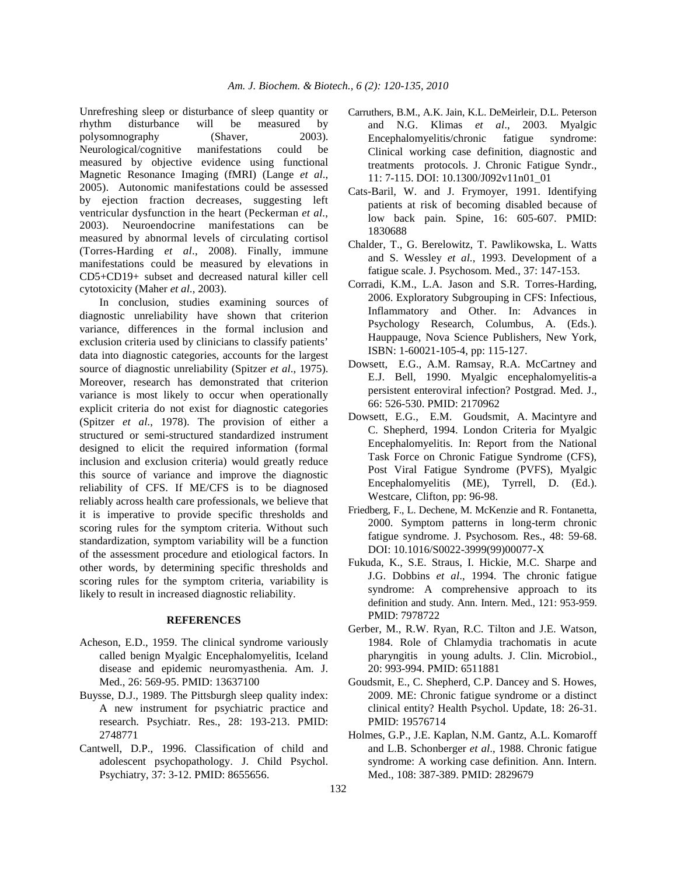Unrefreshing sleep or disturbance of sleep quantity or rhythm disturbance will be measured by polysomnography (Shaver, 2003). Neurological/cognitive manifestations could be measured by objective evidence using functional Magnetic Resonance Imaging (fMRI) (Lange *et al*., 2005). Autonomic manifestations could be assessed by ejection fraction decreases, suggesting left ventricular dysfunction in the heart (Peckerman *et al*., 2003). Neuroendocrine manifestations can be measured by abnormal levels of circulating cortisol (Torres-Harding *et al*., 2008). Finally, immune manifestations could be measured by elevations in CD5+CD19+ subset and decreased natural killer cell cytotoxicity (Maher *et al*., 2003).

 In conclusion, studies examining sources of diagnostic unreliability have shown that criterion variance, differences in the formal inclusion and exclusion criteria used by clinicians to classify patients' data into diagnostic categories, accounts for the largest source of diagnostic unreliability (Spitzer *et al*., 1975). Moreover, research has demonstrated that criterion variance is most likely to occur when operationally explicit criteria do not exist for diagnostic categories (Spitzer *et al*., 1978). The provision of either a structured or semi-structured standardized instrument designed to elicit the required information (formal inclusion and exclusion criteria) would greatly reduce this source of variance and improve the diagnostic reliability of CFS. If ME/CFS is to be diagnosed reliably across health care professionals, we believe that it is imperative to provide specific thresholds and scoring rules for the symptom criteria. Without such standardization, symptom variability will be a function of the assessment procedure and etiological factors. In other words, by determining specific thresholds and scoring rules for the symptom criteria, variability is likely to result in increased diagnostic reliability.

## **REFERENCES**

- Acheson, E.D., 1959. The clinical syndrome variously called benign Myalgic Encephalomyelitis, Iceland disease and epidemic neuromyasthenia. Am. J. Med., 26: 569-95. PMID: 13637100
- Buysse, D.J., 1989. The Pittsburgh sleep quality index: A new instrument for psychiatric practice and research. Psychiatr. Res., 28: 193-213. PMID: 2748771
- Cantwell, D.P., 1996. Classification of child and adolescent psychopathology. J. Child Psychol. Psychiatry, 37: 3-12. PMID: 8655656.
- Carruthers, B.M., A.K. Jain, K.L. DeMeirleir, D.L. Peterson and N.G. Klimas *et al*., 2003. Myalgic Encephalomyelitis/chronic fatigue syndrome: Clinical working case definition, diagnostic and treatments protocols. J. Chronic Fatigue Syndr., 11: 7-115. DOI: 10.1300/J092v11n01\_01
- Cats-Baril, W. and J. Frymoyer, 1991. Identifying patients at risk of becoming disabled because of low back pain. Spine, 16: 605-607. PMID: 1830688
- Chalder, T., G. Berelowitz, T. Pawlikowska, L. Watts and S. Wessley *et al*., 1993. Development of a fatigue scale. J. Psychosom. Med., 37: 147-153.
- Corradi, K.M., L.A. Jason and S.R. Torres-Harding, 2006. Exploratory Subgrouping in CFS: Infectious, Inflammatory and Other. In: Advances in Psychology Research, Columbus, A. (Eds.). Hauppauge, Nova Science Publishers, New York, ISBN: 1-60021-105-4, pp: 115-127.
- Dowsett, E.G., A.M. Ramsay, R.A. McCartney and E.J. Bell, 1990. Myalgic encephalomyelitis-a persistent enteroviral infection? Postgrad. Med. J., 66: 526-530. PMID: 2170962
- Dowsett, E.G., E.M. Goudsmit, A. Macintyre and C. Shepherd, 1994. London Criteria for Myalgic Encephalomyelitis. In: Report from the National Task Force on Chronic Fatigue Syndrome (CFS), Post Viral Fatigue Syndrome (PVFS), Myalgic Encephalomyelitis (ME), Tyrrell, D. (Ed.). Westcare, Clifton, pp: 96-98.
- Friedberg, F., L. Dechene, M. McKenzie and R. Fontanetta, 2000. Symptom patterns in long-term chronic fatigue syndrome. J. Psychosom. Res., 48: 59-68. DOI: 10.1016/S0022-3999(99)00077-X
- Fukuda, K., S.E. Straus, I. Hickie, M.C. Sharpe and J.G. Dobbins *et al*., 1994. The chronic fatigue syndrome: A comprehensive approach to its definition and study. Ann. Intern. Med., 121: 953-959. PMID: 7978722
- Gerber, M., R.W. Ryan, R.C. Tilton and J.E. Watson, 1984. Role of Chlamydia trachomatis in acute pharyngitis in young adults. J. Clin. Microbiol., 20: 993-994. PMID: 6511881
- Goudsmit, E., C. Shepherd, C.P. Dancey and S. Howes, 2009. ME: Chronic fatigue syndrome or a distinct clinical entity? Health Psychol. Update, 18: 26-31. PMID: 19576714
- Holmes, G.P., J.E. Kaplan, N.M. Gantz, A.L. Komaroff and L.B. Schonberger *et al*., 1988. Chronic fatigue syndrome: A working case definition. Ann. Intern. Med., 108: 387-389. PMID: 2829679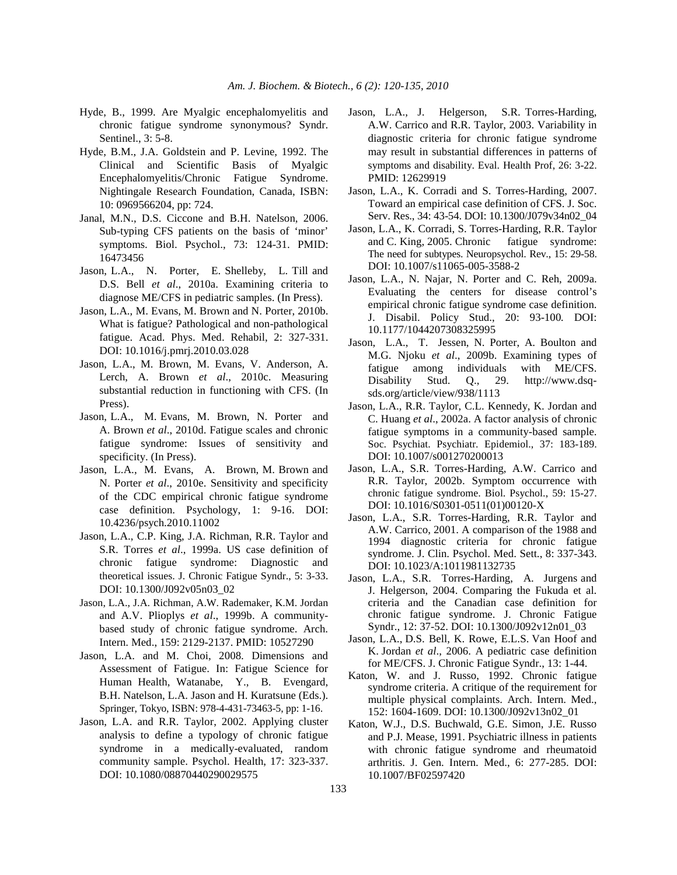- Hyde, B., 1999. Are Myalgic encephalomyelitis and chronic fatigue syndrome synonymous? Syndr. Sentinel., 3: 5-8.
- Hyde, B.M., J.A. Goldstein and P. Levine, 1992. The Clinical and Scientific Basis of Myalgic Encephalomyelitis/Chronic Fatigue Syndrome. Nightingale Research Foundation, Canada, ISBN: 10: 0969566204, pp: 724.
- Janal, M.N., D.S. Ciccone and B.H. Natelson, 2006. Sub-typing CFS patients on the basis of 'minor' symptoms. Biol. Psychol., 73: 124-31. PMID: 16473456
- Jason, L.A., N. Porter, E. Shelleby, L. Till and D.S. Bell *et al*., 2010a. Examining criteria to diagnose ME/CFS in pediatric samples. (In Press).
- Jason, L.A., M. Evans, M. Brown and N. Porter, 2010b. What is fatigue? Pathological and non-pathological fatigue. Acad. Phys. Med. Rehabil, 2: 327-331. DOI: 10.1016/j.pmrj.2010.03.028
- Jason, L.A., M. Brown, M. Evans, V. Anderson, A. Lerch, A. Brown *et al*., 2010c. Measuring substantial reduction in functioning with CFS. (In Press).
- Jason, L.A., M. Evans, M. Brown, N. Porter and A. Brown *et al*., 2010d. Fatigue scales and chronic fatigue syndrome: Issues of sensitivity and specificity. (In Press).
- Jason, L.A., M. Evans, A. Brown, M. Brown and N. Porter *et al*., 2010e. Sensitivity and specificity of the CDC empirical chronic fatigue syndrome case definition. Psychology, 1: 9-16. DOI: 10.4236/psych.2010.11002
- Jason, L.A., C.P. King, J.A. Richman, R.R. Taylor and S.R. Torres *et al*., 1999a. US case definition of chronic fatigue syndrome: Diagnostic and theoretical issues. J. Chronic Fatigue Syndr., 5: 3-33. DOI: 10.1300/J092v05n03\_02
- Jason, L.A., J.A. Richman, A.W. Rademaker, K.M. Jordan and A.V. Plioplys *et al*., 1999b. A communitybased study of chronic fatigue syndrome. Arch. Intern. Med., 159: 2129-2137. PMID: 10527290
- Jason, L.A. and M. Choi, 2008. Dimensions and Assessment of Fatigue. In: Fatigue Science for Human Health, Watanabe, Y., B. Evengard, B.H. Natelson, L.A. Jason and H. Kuratsune (Eds.). Springer, Tokyo, ISBN: 978-4-431-73463-5, pp: 1-16.
- Jason, L.A. and R.R. Taylor, 2002. Applying cluster analysis to define a typology of chronic fatigue syndrome in a medically-evaluated, random community sample. Psychol. Health, 17: 323-337. DOI: 10.1080/08870440290029575
- Jason, L.A., J. Helgerson, S.R. Torres-Harding, A.W. Carrico and R.R. Taylor, 2003. Variability in diagnostic criteria for chronic fatigue syndrome may result in substantial differences in patterns of symptoms and disability. Eval. Health Prof, 26: 3-22. PMID: 12629919
- Jason, L.A., K. Corradi and S. Torres-Harding, 2007. Toward an empirical case definition of CFS. J. Soc. Serv. Res., 34: 43-54. DOI: 10.1300/J079v34n02\_04
- Jason, L.A., K. Corradi, S. Torres-Harding, R.R. Taylor and C. King, 2005. Chronic fatigue syndrome: The need for subtypes. Neuropsychol. Rev., 15: 29-58. DOI: 10.1007/s11065-005-3588-2
- Jason, L.A., N. Najar, N. Porter and C. Reh, 2009a. Evaluating the centers for disease control's empirical chronic fatigue syndrome case definition. J. Disabil. Policy Stud., 20: 93-100*.* DOI: 10.1177/1044207308325995
- Jason, L.A., T. Jessen, N. Porter, A. Boulton and M.G. Njoku *et al*., 2009b. Examining types of fatigue among individuals with ME/CFS. Disability Stud. Q., 29. http://www.dsqsds.org/article/view/938/1113
- Jason, L.A., R.R. Taylor, C.L. Kennedy, K. Jordan and C. Huang *et al*., 2002a. A factor analysis of chronic fatigue symptoms in a community-based sample. Soc. Psychiat. Psychiatr. Epidemiol., 37: 183-189. DOI: 10.1007/s001270200013
- Jason, L.A., S.R. Torres-Harding, A.W. Carrico and R.R. Taylor, 2002b. Symptom occurrence with chronic fatigue syndrome. Biol. Psychol., 59: 15-27. DOI: 10.1016/S0301-0511(01)00120-X
- Jason, L.A., S.R. Torres-Harding, R.R. Taylor and A.W. Carrico, 2001. A comparison of the 1988 and 1994 diagnostic criteria for chronic fatigue syndrome. J. Clin. Psychol. Med. Sett., 8: 337-343. DOI: 10.1023/A:1011981132735
- Jason, L.A., S.R. Torres-Harding, A. Jurgens and J. Helgerson, 2004. Comparing the Fukuda et al. criteria and the Canadian case definition for chronic fatigue syndrome. J. Chronic Fatigue Syndr., 12: 37-52. DOI: 10.1300/J092v12n01\_03
- Jason, L.A., D.S. Bell, K. Rowe, E.L.S. Van Hoof and K. Jordan *et al*., 2006. A pediatric case definition for ME/CFS. J. Chronic Fatigue Syndr., 13: 1-44.
- Katon, W. and J. Russo, 1992. Chronic fatigue syndrome criteria. A critique of the requirement for multiple physical complaints. Arch. Intern. Med., 152: 1604-1609. DOI: 10.1300/J092v13n02\_01
- Katon, W.J., D.S. Buchwald, G.E. Simon, J.E. Russo and P.J. Mease, 1991. Psychiatric illness in patients with chronic fatigue syndrome and rheumatoid arthritis. J. Gen. Intern. Med., 6: 277-285. DOI: 10.1007/BF02597420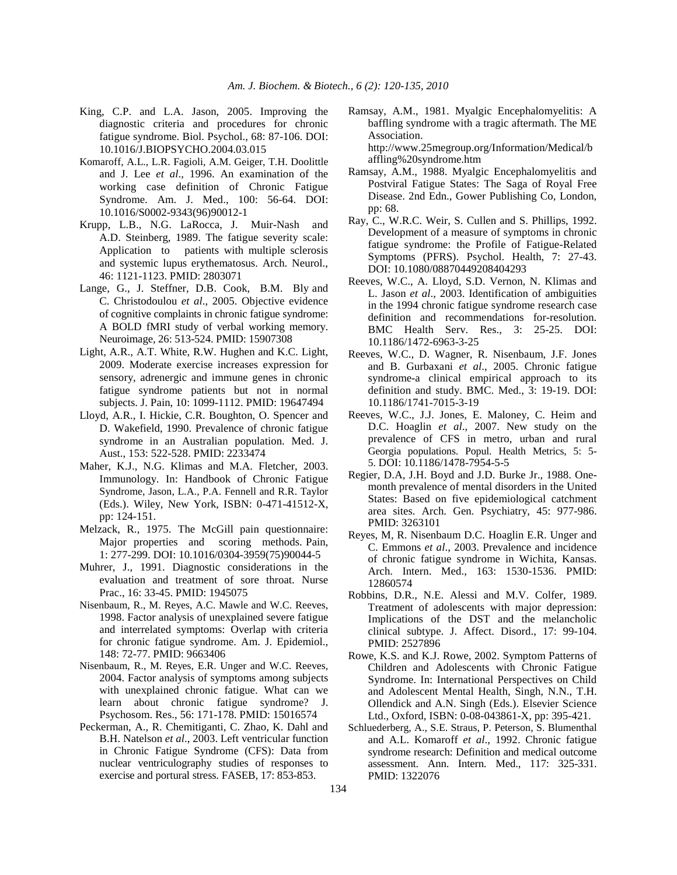- King, C.P. and L.A. Jason, 2005. Improving the diagnostic criteria and procedures for chronic fatigue syndrome. Biol. Psychol., 68: 87-106. DOI: 10.1016/J.BIOPSYCHO.2004.03.015
- Komaroff, A.L., L.R. Fagioli, A.M. Geiger, T.H. Doolittle and J. Lee *et al*., 1996. An examination of the working case definition of Chronic Fatigue Syndrome. Am. J. Med., 100: 56-64. DOI: 10.1016/S0002-9343(96)90012-1
- Krupp, L.B., N.G. LaRocca, J. Muir-Nash and A.D. Steinberg, 1989. The fatigue severity scale: Application to patients with multiple sclerosis and systemic lupus erythematosus. Arch. Neurol., 46: 1121-1123. PMID: 2803071
- Lange, G., J. Steffner, D.B. Cook, B.M. Bly and C. Christodoulou *et al*., 2005. Objective evidence of cognitive complaints in chronic fatigue syndrome: A BOLD fMRI study of verbal working memory. Neuroimage, 26: 513-524. PMID: 15907308
- Light, A.R., A.T. White, R.W. Hughen and K.C. Light, 2009. Moderate exercise increases expression for sensory, adrenergic and immune genes in chronic fatigue syndrome patients but not in normal subjects. J. Pain, 10: 1099-1112. PMID: 19647494
- Lloyd, A.R., I. Hickie, C.R. Boughton, O. Spencer and D. Wakefield, 1990. Prevalence of chronic fatigue syndrome in an Australian population. Med. J. Aust., 153: 522-528. PMID: 2233474
- Maher, K.J., N.G. Klimas and M.A. Fletcher, 2003. Immunology. In: Handbook of Chronic Fatigue Syndrome, Jason, L.A., P.A. Fennell and R.R. Taylor (Eds.). Wiley, New York, ISBN: 0-471-41512-X, pp: 124-151.
- Melzack, R., 1975. The McGill pain questionnaire: Major properties and scoring methods. Pain, 1: 277-299. DOI: 10.1016/0304-3959(75)90044-5
- Muhrer, J., 1991. Diagnostic considerations in the evaluation and treatment of sore throat. Nurse Prac., 16: 33-45. PMID: 1945075
- Nisenbaum, R., M. Reyes, A.C. Mawle and W.C. Reeves, 1998. Factor analysis of unexplained severe fatigue and interrelated symptoms: Overlap with criteria for chronic fatigue syndrome. Am. J. Epidemiol., 148: 72-77. PMID: 9663406
- Nisenbaum, R., M. Reyes, E.R. Unger and W.C. Reeves, 2004. Factor analysis of symptoms among subjects with unexplained chronic fatigue. What can we learn about chronic fatigue syndrome? J. Psychosom. Res., 56: 171-178. PMID: 15016574
- Peckerman, A., R. Chemitiganti, C. Zhao, K. Dahl and B.H. Natelson *et al*., 2003. Left ventricular function in Chronic Fatigue Syndrome (CFS): Data from nuclear ventriculography studies of responses to exercise and portural stress. FASEB, 17: 853-853.
- Ramsay, A.M., 1981. Myalgic Encephalomyelitis: A baffling syndrome with a tragic aftermath. The ME Association. http://www.25megroup.org/Information/Medical/b
- affling%20syndrome.htm Ramsay, A.M., 1988. Myalgic Encephalomyelitis and Postviral Fatigue States: The Saga of Royal Free Disease. 2nd Edn., Gower Publishing Co, London, pp: 68.
- Ray, C., W.R.C. Weir, S. Cullen and S. Phillips, 1992. Development of a measure of symptoms in chronic fatigue syndrome: the Profile of Fatigue-Related Symptoms (PFRS). Psychol. Health, 7: 27-43. DOI: 10.1080/08870449208404293
- Reeves, W.C., A. Lloyd, S.D. Vernon, N. Klimas and L. Jason *et al*., 2003. Identification of ambiguities in the 1994 chronic fatigue syndrome research case definition and recommendations for-resolution. BMC Health Serv. Res., 3: 25-25. DOI: 10.1186/1472-6963-3-25
- Reeves, W.C., D. Wagner, R. Nisenbaum, J.F. Jones and B. Gurbaxani *et al*., 2005. Chronic fatigue syndrome-a clinical empirical approach to its definition and study. BMC. Med., 3: 19-19. DOI: 10.1186/1741-7015-3-19
- Reeves, W.C., J.J. Jones, E. Maloney, C. Heim and D.C. Hoaglin *et al*., 2007. New study on the prevalence of CFS in metro, urban and rural Georgia populations. Popul. Health Metrics, 5: 5- 5. DOI: 10.1186/1478-7954-5-5
- Regier, D.A, J.H. Boyd and J.D. Burke Jr., 1988. Onemonth prevalence of mental disorders in the United States: Based on five epidemiological catchment area sites. Arch. Gen. Psychiatry, 45: 977-986. PMID: 3263101
- Reyes, M, R. Nisenbaum D.C. Hoaglin E.R. Unger and C. Emmons *et al*., 2003. Prevalence and incidence of chronic fatigue syndrome in Wichita, Kansas. Arch. Intern. Med., 163: 1530-1536. PMID: 12860574
- Robbins, D.R., N.E. Alessi and M.V. Colfer, 1989. Treatment of adolescents with major depression: Implications of the DST and the melancholic clinical subtype. J. Affect. Disord., 17: 99-104. PMID: 2527896
- Rowe, K.S. and K.J. Rowe, 2002. Symptom Patterns of Children and Adolescents with Chronic Fatigue Syndrome. In: International Perspectives on Child and Adolescent Mental Health, Singh, N.N., T.H. Ollendick and A.N. Singh (Eds.). Elsevier Science Ltd., Oxford, ISBN: 0-08-043861-X, pp: 395-421.
- Schluederberg, A., S.E. Straus, P. Peterson, S. Blumenthal and A.L. Komaroff *et al*., 1992. Chronic fatigue syndrome research: Definition and medical outcome assessment. Ann. Intern. Med., 117: 325-331. PMID: 1322076